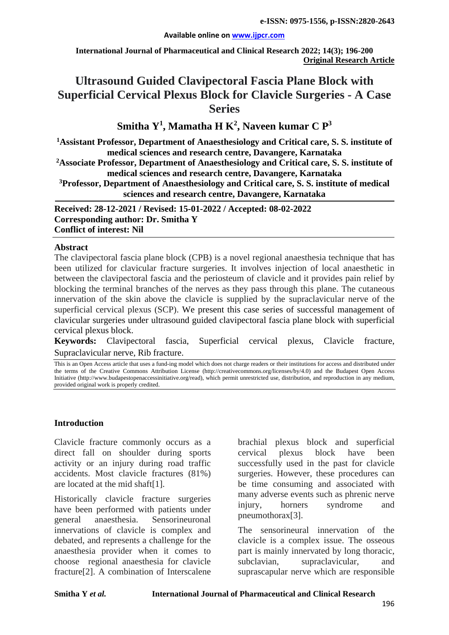#### **Available online on [www.ijpcr.com](http://www.ijpcr.com/)**

**International Journal of Pharmaceutical and Clinical Research 2022; 14(3); 196-200 Original Research Article**

# **Ultrasound Guided Clavipectoral Fascia Plane Block with Superficial Cervical Plexus Block for Clavicle Surgeries - A Case Series**

# **Smitha Y1 , Mamatha H K2 , Naveen kumar C P3**

**1 Assistant Professor, Department of Anaesthesiology and Critical care, S. S. institute of medical sciences and research centre, Davangere, Karnataka**

**2Associate Professor, Department of Anaesthesiology and Critical care, S. S. institute of medical sciences and research centre, Davangere, Karnataka**

**3Professor, Department of Anaesthesiology and Critical care, S. S. institute of medical sciences and research centre, Davangere, Karnataka**

**Received: 28-12-2021 / Revised: 15-01-2022 / Accepted: 08-02-2022 Corresponding author: Dr. Smitha Y Conflict of interest: Nil**

#### **Abstract**

The clavipectoral fascia plane block (CPB) is a novel regional anaesthesia technique that has been utilized for clavicular fracture surgeries. It involves injection of local anaesthetic in between the clavipectoral fascia and the periosteum of clavicle and it provides pain relief by blocking the terminal branches of the nerves as they pass through this plane. The cutaneous innervation of the skin above the clavicle is supplied by the supraclavicular nerve of the superficial cervical plexus (SCP). We present this case series of successful management of clavicular surgeries under ultrasound guided clavipectoral fascia plane block with superficial cervical plexus block.

**Keywords:** Clavipectoral fascia, Superficial cervical plexus, Clavicle fracture, Supraclavicular nerve, Rib fracture.

This is an Open Access article that uses a fund-ing model which does not charge readers or their institutions for access and distributed under the terms of the Creative Commons Attribution License (http://creativecommons.org/licenses/by/4.0) and the Budapest Open Access Initiative (http://www.budapestopenaccessinitiative.org/read), which permit unrestricted use, distribution, and reproduction in any medium, provided original work is properly credited.

#### **Introduction**

Clavicle fracture commonly occurs as a direct fall on shoulder during sports activity or an injury during road traffic accidents. Most clavicle fractures (81%) are located at the mid shaft[1].

Historically clavicle fracture surgeries have been performed with patients under general anaesthesia. Sensorineuronal innervations of clavicle is complex and debated, and represents a challenge for the anaesthesia provider when it comes to choose regional anaesthesia for clavicle fracture[2]. A combination of Interscalene

brachial plexus block and superficial cervical plexus block have been successfully used in the past for clavicle surgeries. However, these procedures can be time consuming and associated with many adverse events such as phrenic nerve injury, horners syndrome and pneumothorax[3].

The sensorineural innervation of the clavicle is a complex issue. The osseous part is mainly innervated by long thoracic, subclavian, supraclavicular, and suprascapular nerve which are responsible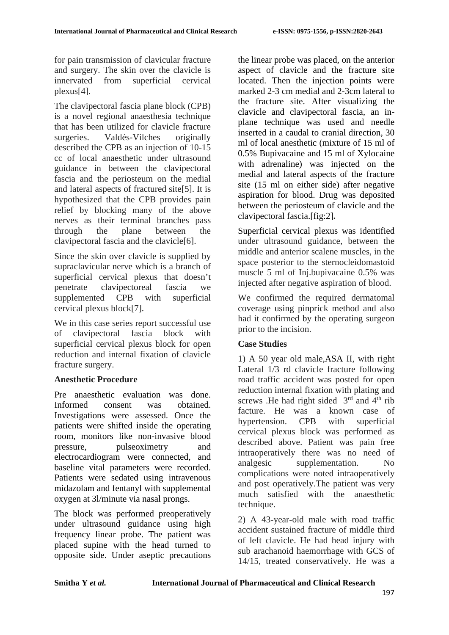for pain transmission of clavicular fracture and surgery. The skin over the clavicle is innervated from superficial cervical plexus[4].

The clavipectoral fascia plane block (CPB) is a novel regional anaesthesia technique that has been utilized for clavicle fracture surgeries. Valdés-Vilches originally described the CPB as an injection of 10-15 cc of local anaesthetic under ultrasound guidance in between the clavipectoral fascia and the periosteum on the medial and lateral aspects of fractured site[5]. It is hypothesized that the CPB provides pain relief by blocking many of the above nerves as their terminal branches pass through the plane between the clavipectoral fascia and the clavicle[6].

Since the skin over clavicle is supplied by supraclavicular nerve which is a branch of superficial cervical plexus that doesn't penetrate clavipectoreal fascia we supplemented CPB with superficial cervical plexus block[7].

We in this case series report successful use of clavipectoral fascia block with superficial cervical plexus block for open reduction and internal fixation of clavicle fracture surgery.

# **Anesthetic Procedure**

Pre anaesthetic evaluation was done. Informed consent was obtained. Investigations were assessed. Once the patients were shifted inside the operating room, monitors like non-invasive blood pressure, pulseoximetry and electrocardiogram were connected, and baseline vital parameters were recorded. Patients were sedated using intravenous midazolam and fentanyl with supplemental oxygen at 3l/minute via nasal prongs.

The block was performed preoperatively under ultrasound guidance using high frequency linear probe. The patient was placed supine with the head turned to opposite side. Under aseptic precautions the linear probe was placed, on the anterior aspect of clavicle and the fracture site located. Then the injection points were marked 2-3 cm medial and 2-3cm lateral to the fracture site. After visualizing the clavicle and clavipectoral fascia, an inplane technique was used and needle inserted in a caudal to cranial direction, 30 ml of local anesthetic (mixture of 15 ml of 0.5% Bupivacaine and 15 ml of Xylocaine with adrenaline) was injected on the medial and lateral aspects of the fracture site (15 ml on either side) after negative aspiration for blood. Drug was deposited between the periosteum of clavicle and the clavipectoral fascia.[fig:2]**.**

Superficial cervical plexus was identified under ultrasound guidance, between the middle and anterior scalene muscles, in the space posterior to the sternocleidomastoid muscle 5 ml of Inj.bupivacaine 0.5% was injected after negative aspiration of blood.

We confirmed the required dermatomal coverage using pinprick method and also had it confirmed by the operating surgeon prior to the incision.

# **Case Studies**

1) A 50 year old male,ASA II, with right Lateral 1/3 rd clavicle fracture following road traffic accident was posted for open reduction internal fixation with plating and screws .He had right sided  $3<sup>rd</sup>$  and  $4<sup>th</sup>$  rib facture. He was a known case of hypertension. CPB with superficial cervical plexus block was performed as described above. Patient was pain free intraoperatively there was no need of analgesic supplementation. No complications were noted intraoperatively and post operatively.The patient was very much satisfied with the anaesthetic technique.

2) A 43-year-old male with road traffic accident sustained fracture of middle third of left clavicle. He had head injury with sub arachanoid haemorrhage with GCS of 14/15, treated conservatively. He was a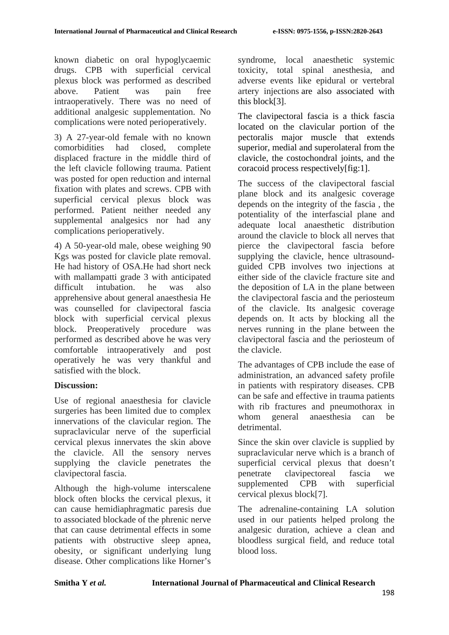known diabetic on oral hypoglycaemic drugs. CPB with superficial cervical plexus block was performed as described above. Patient was pain free intraoperatively. There was no need of additional analgesic supplementation. No complications were noted perioperatively.

3) A 27-year-old female with no known comorbidities had closed, complete displaced fracture in the middle third of the left clavicle following trauma. Patient was posted for open reduction and internal fixation with plates and screws. CPB with superficial cervical plexus block was performed. Patient neither needed any supplemental analgesics nor had any complications perioperatively.

4) A 50-year-old male, obese weighing 90 Kgs was posted for clavicle plate removal. He had history of OSA.He had short neck with mallampatti grade 3 with anticipated difficult intubation. he was also apprehensive about general anaesthesia He was counselled for clavipectoral fascia block with superficial cervical plexus block. Preoperatively procedure was performed as described above he was very comfortable intraoperatively and post operatively he was very thankful and satisfied with the block.

# **Discussion:**

Use of regional anaesthesia for clavicle surgeries has been limited due to complex innervations of the clavicular region. The supraclavicular nerve of the superficial cervical plexus innervates the skin above the clavicle. All the sensory nerves supplying the clavicle penetrates the clavipectoral fascia.

Although the high-volume interscalene block often blocks the cervical plexus, it can cause hemidiaphragmatic paresis due to associated blockade of the phrenic nerve that can cause detrimental effects in some patients with obstructive sleep apnea, obesity, or significant underlying lung disease. Other complications like Horner's

syndrome, local anaesthetic systemic toxicity, total spinal anesthesia, and adverse events like epidural or vertebral artery injections are also associated with this block[3].

The clavipectoral fascia is a thick fascia located on the clavicular portion of the pectoralis major muscle that extends superior, medial and superolateral from the clavicle, the costochondral joints, and the coracoid process respectively[fig:1].

The success of the clavipectoral fascial plane block and its analgesic coverage depends on the integrity of the fascia , the potentiality of the interfascial plane and adequate local anaesthetic distribution around the clavicle to block all nerves that pierce the clavipectoral fascia before supplying the clavicle, hence ultrasoundguided CPB involves two injections at either side of the clavicle fracture site and the deposition of LA in the plane between the clavipectoral fascia and the periosteum of the clavicle. Its analgesic coverage depends on. It acts by blocking all the nerves running in the plane between the clavipectoral fascia and the periosteum of the clavicle.

The advantages of CPB include the ease of administration, an advanced safety profile in patients with respiratory diseases. CPB can be safe and effective in trauma patients with rib fractures and pneumothorax in whom general anaesthesia can be detrimental.

Since the skin over clavicle is supplied by supraclavicular nerve which is a branch of superficial cervical plexus that doesn't penetrate clavipectoreal fascia we supplemented CPB with superficial cervical plexus block[7].

The adrenaline-containing LA solution used in our patients helped prolong the analgesic duration, achieve a clean and bloodless surgical field, and reduce total blood loss.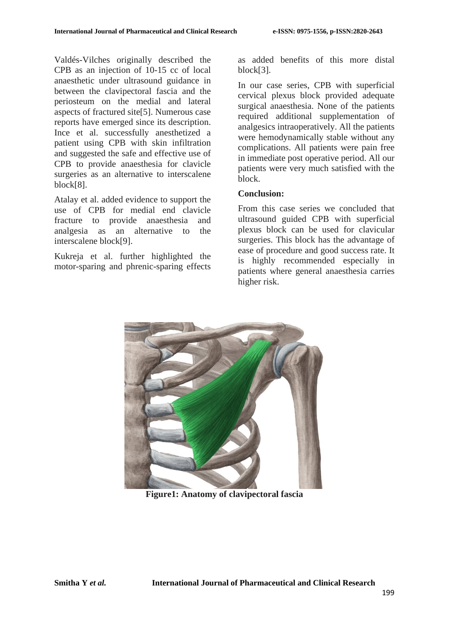Valdés-Vilches originally described the CPB as an injection of 10-15 cc of local anaesthetic under ultrasound guidance in between the clavipectoral fascia and the periosteum on the medial and lateral aspects of fractured site[5]. Numerous case reports have emerged since its description. Ince et al. successfully anesthetized a patient using CPB with skin infiltration and suggested the safe and effective use of CPB to provide anaesthesia for clavicle surgeries as an alternative to interscalene block[8].

Atalay et al. added evidence to support the use of CPB for medial end clavicle fracture to provide anaesthesia and analgesia as an alternative to the interscalene block[9].

Kukreja et al. further highlighted the motor-sparing and phrenic-sparing effects as added benefits of this more distal block[3].

In our case series, CPB with superficial cervical plexus block provided adequate surgical anaesthesia. None of the patients required additional supplementation of analgesics intraoperatively. All the patients were hemodynamically stable without any complications. All patients were pain free in immediate post operative period. All our patients were very much satisfied with the block.

# **Conclusion:**

From this case series we concluded that ultrasound guided CPB with superficial plexus block can be used for clavicular surgeries. This block has the advantage of ease of procedure and good success rate. It is highly recommended especially in patients where general anaesthesia carries higher risk.



**Figure1: Anatomy of clavipectoral fascia**